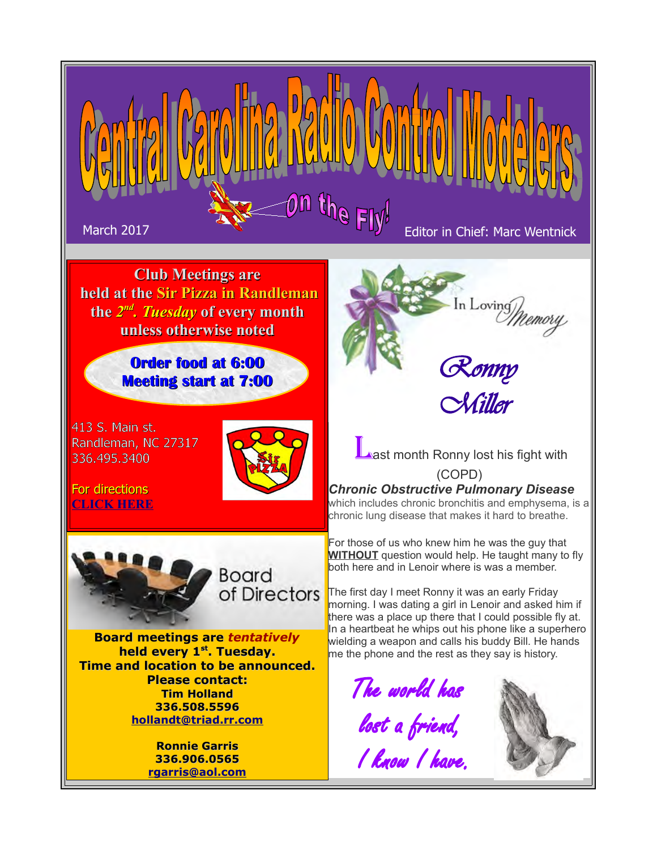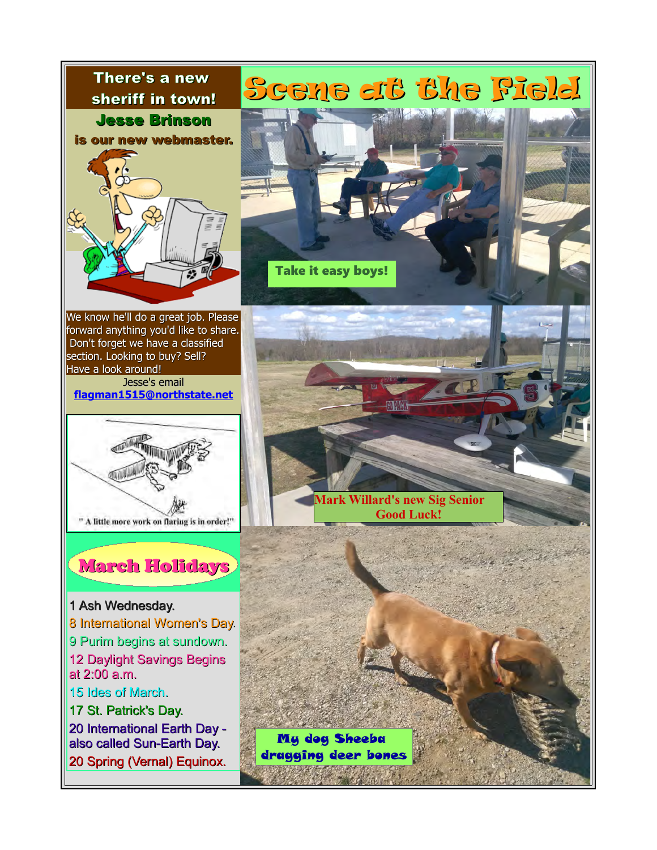

We know he'll do a great job. Please forward anything you'd like to share. Don't forget we have a classified section. Looking to buy? Sell? Have a look around!

Jesse's email **[flagman1515@northstate.net](mailto:flagman1515@northstate.net)**



#### March Holidays

1 Ash Wednesday. 8 International Women's Day. 9 Purim begins at sundown. 12 Daylight Savings Begins at 2:00 a.m. 15 Ides of March. 17 St. Patrick's Day. 20 International Earth Day also called Sun-Earth Day. 20 Spring (Vernal) Equinox.



**Mark Willard's new Sig Senior Good Luck!**

My dog Sheeba dragging deer bones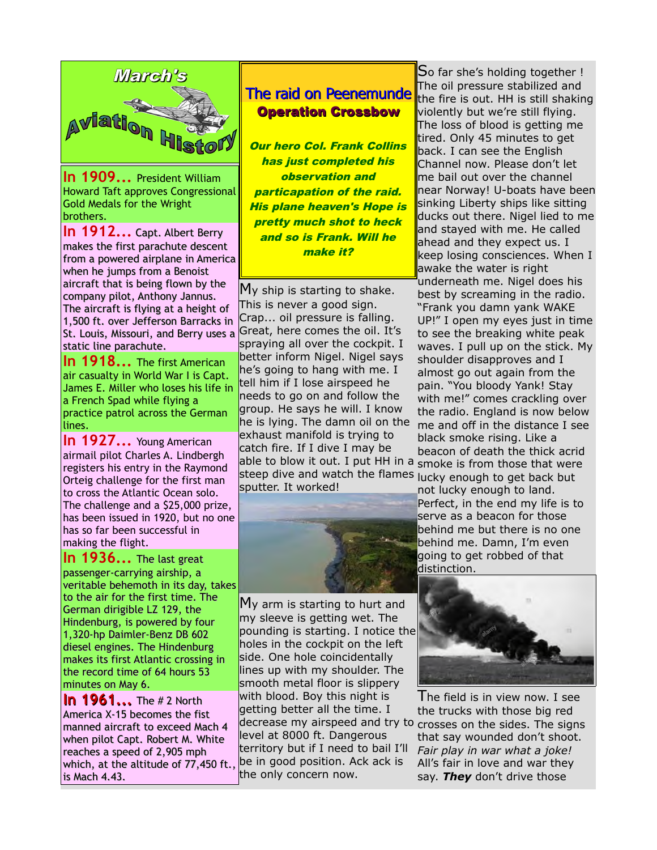

**In 1909...** President William Howard Taft approves Congressional Gold Medals for the Wright brothers.

**In 1912...** Capt. Albert Berry makes the first parachute descent from a powered airplane in America when he jumps from a Benoist aircraft that is being flown by the company pilot, Anthony Jannus. The aircraft is flying at a height of 1,500 ft. over Jefferson Barracks in St. Louis, Missouri, and Berry uses a static line parachute.

**In 1918...** The first American air casualty in World War I is Capt. James E. Miller who loses his life in a French Spad while flying a practice patrol across the German lines.

**In 1927...** Young American airmail pilot Charles A. Lindbergh registers his entry in the Raymond Orteig challenge for the first man to cross the Atlantic Ocean solo. The challenge and a \$25,000 prize, has been issued in 1920, but no one has so far been successful in making the flight.

**In 1936...** The last great passenger-carrying airship, a veritable behemoth in its day, takes to the air for the first time. The German dirigible LZ 129, the Hindenburg, is powered by four 1,320-hp Daimler-Benz DB 602 diesel engines. The Hindenburg makes its first Atlantic crossing in the record time of 64 hours 53 minutes on May 6.

**In 1961...** The #2 North America X-15 becomes the fist manned aircraft to exceed Mach 4 when pilot Capt. Robert M. White reaches a speed of 2,905 mph which, at the altitude of 77,450 ft., is Mach 4.43.

#### The raid on Peenemunde Operation Crossbow

**Our hero Col. Frank Collins** has just completed his observation and particapation of the raid. His plane heaven's Hope is pretty much shot to heck and so is Frank. Will he make it?

My ship is starting to shake. This is never a good sign. Crap... oil pressure is falling. Great, here comes the oil. It's spraying all over the cockpit. I better inform Nigel. Nigel says he's going to hang with me. I tell him if I lose airspeed he needs to go on and follow the group. He says he will. I know he is lying. The damn oil on the exhaust manifold is trying to catch fire. If I dive I may be able to blow it out. I put HH in a steep dive and watch the flames lucky enough to get back but sputter. It worked!



My arm is starting to hurt and my sleeve is getting wet. The pounding is starting. I notice the holes in the cockpit on the left side. One hole coincidentally lines up with my shoulder. The smooth metal floor is slippery with blood. Boy this night is getting better all the time. I decrease my airspeed and try to crosses on the sides. The signs level at 8000 ft. Dangerous territory but if I need to bail I'll be in good position. Ack ack is the only concern now.

So far she's holding together ! The oil pressure stabilized and the fire is out. HH is still shaking violently but we're still flying. The loss of blood is getting me tired. Only 45 minutes to get back. I can see the English Channel now. Please don't let me bail out over the channel near Norway! U-boats have been sinking Liberty ships like sitting ducks out there. Nigel lied to me and staved with me. He called ahead and they expect us. I keep losing consciences. When I awake the water is right underneath me. Nigel does his best by screaming in the radio. "Frank you damn yank WAKE UP!" I open my eyes just in time to see the breaking white peak waves. I pull up on the stick. My shoulder disapproves and I almost go out again from the pain. "You bloody Yank! Stay with me!" comes crackling over the radio. England is now below me and off in the distance I see black smoke rising. Like a beacon of death the thick acrid smoke is from those that were

not lucky enough to land. Perfect, in the end my life is to serve as a beacon for those behind me but there is no one behind me. Damn, I'm even going to get robbed of that distinction.



I he field is in view now. I see the trucks with those big red that say wounded don't shoot. *Fair play in war what a joke!* All's fair in love and war they say. *They* don't drive those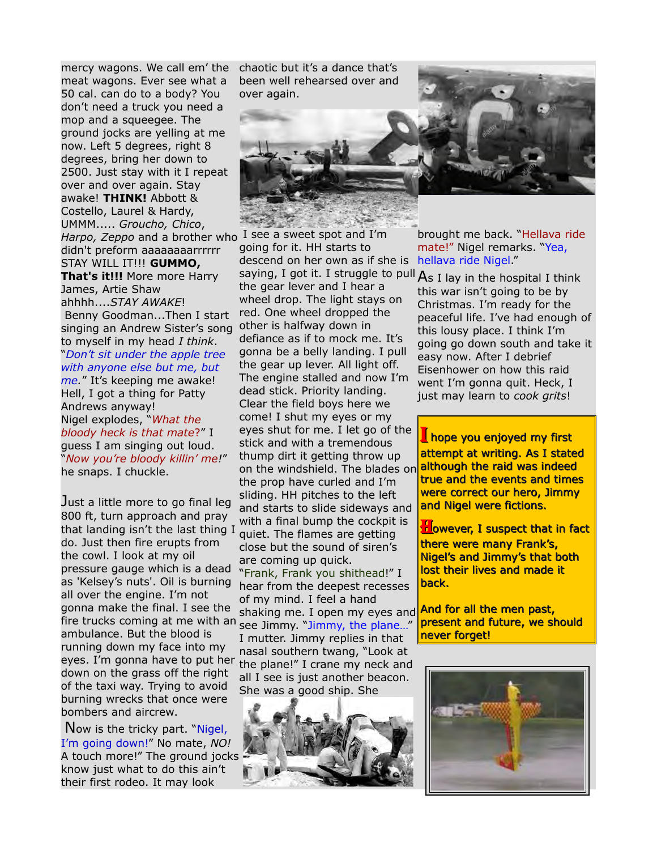mercy wagons. We call em' the meat wagons. Ever see what a 50 cal. can do to a body? You don't need a truck you need a mop and a squeegee. The ground jocks are yelling at me now. Left 5 degrees, right 8 degrees, bring her down to 2500. Just stay with it I repeat over and over again. Stay awake! **THINK!** Abbott & Costello, Laurel & Hardy, UMMM..... *Groucho, Chico*, *Harpo, Zeppo* and a brother who I see a sweet spot and I'm didn't preform aaaaaaaarrrrrr STAY WILL IT!!! **GUMMO, That's it!!!** More more Harry James, Artie Shaw ahhhh....*STAY AWAKE*! Benny Goodman...Then I start singing an Andrew Sister's song to myself in my head *I think*. "*Don't sit under the apple tree with anyone else but me, but me.*" It's keeping me awake! Hell, I got a thing for Patty Andrews anyway! Nigel explodes, "*What the bloody heck is that mate*?" I guess I am singing out loud. "*Now you're bloody killin' me!*" he snaps. I chuckle.

Just a little more to go final leg 800 ft, turn approach and pray that landing isn't the last thing I do. Just then fire erupts from the cowl. I look at my oil pressure gauge which is a dead as 'Kelsey's nuts'. Oil is burning all over the engine. I'm not gonna make the final. I see the fire trucks coming at me with an ambulance. But the blood is running down my face into my eyes. I'm gonna have to put her down on the grass off the right of the taxi way. Trying to avoid burning wrecks that once were bombers and aircrew.

Now is the tricky part. "Nigel, I'm going down!" No mate, *NO!* A touch more!" The ground jocks know just what to do this ain't their first rodeo. It may look

chaotic but it's a dance that's been well rehearsed over and over again.



going for it. HH starts to descend on her own as if she is

saying, I got it. I struggle to pull  $A_s$  I lay in the hospital I think the gear lever and I hear a wheel drop. The light stays on red. One wheel dropped the other is halfway down in defiance as if to mock me. It's gonna be a belly landing. I pull the gear up lever. All light off. The engine stalled and now I'm dead stick. Priority landing. Clear the field boys here we come! I shut my eyes or my eyes shut for me. I let go of the stick and with a tremendous thump dirt it getting throw up on the windshield. The blades on although the raid was indeed the prop have curled and I'm sliding. HH pitches to the left and starts to slide sideways and with a final bump the cockpit is quiet. The flames are getting close but the sound of siren's are coming up quick. "Frank, Frank you shithead!" I hear from the deepest recesses of my mind. I feel a hand shaking me. I open my eyes and **And for all the men past,** see Jimmy. "Jimmy, the plane…" I mutter. Jimmy replies in that nasal southern twang, "Look at the plane!" I crane my neck and

all I see is just another beacon. She was a good ship. She



brought me back. "Hellava ride mate!" Nigel remarks. "Yea, hellava ride Nigel."

this war isn't going to be by Christmas. I'm ready for the peaceful life. I've had enough of this lousy place. I think I'm going go down south and take it easy now. After I debrief Eisenhower on how this raid went I'm gonna quit. Heck, I just may learn to *cook grits*!

I hope you enjoyed my first attempt at writing. As I stated true and the events and times were correct our hero, Jimmy and Nigel were fictions.

**However, I suspect that in fact** there were many Frank's, Nigel's and Jimmy's that both lost their lives and made it back.

present and future, we should never forget!

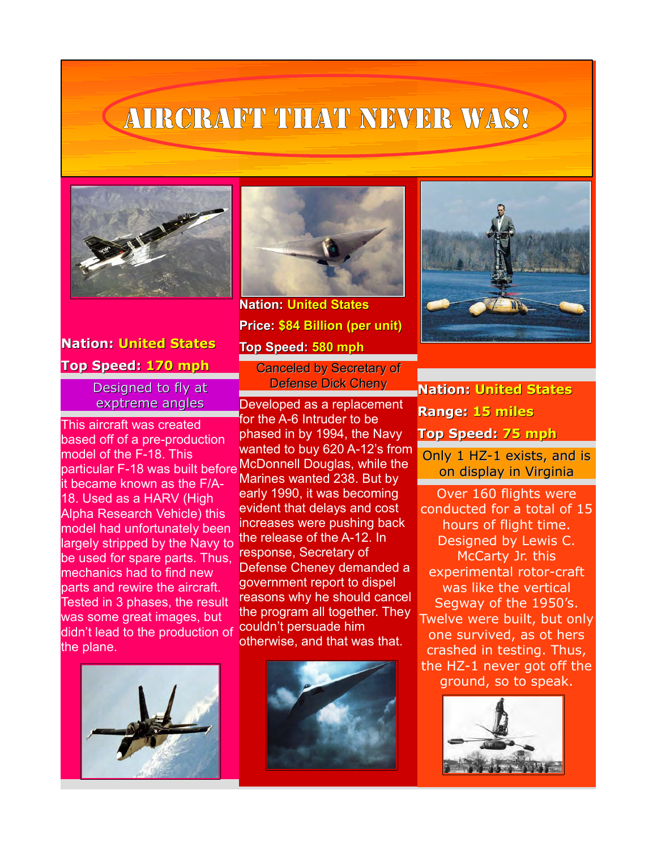# Aircraft that never was!



### **Nation: United States**

#### **Top Speed: 170 mph**

Designed to fly at exptreme angles

This aircraft was created based off of a pre-production model of the F-18. This meach of the first rine<br>particular F-18 was built before McDonnell Douglas, while the it became known as the F/A-18. Used as a HARV (High Alpha Research Vehicle) this model had unfortunately been largely stripped by the Navy to be used for spare parts. Thus, mechanics had to find new parts and rewire the aircraft. Tested in 3 phases, the result was some great images, but didn't lead to the production of the plane.





**Nation: United States Price: \$84 Billion (per unit) Top Speed: 580 mph** Canceled by Secretary of

Defense Dick Cheny

Developed as a replacement for the A-6 Intruder to be phased in by 1994, the Navy wanted to buy 620 A-12's from Marines wanted 238. But by early 1990, it was becoming evident that delays and cost increases were pushing back the release of the A-12. In response, Secretary of Defense Cheney demanded a government report to dispel reasons why he should cancel the program all together. They couldn't persuade him otherwise, and that was that.





**Nation: United States Range: 15 miles Top Speed: 75 mph**

Only 1 HZ-1 exists, and is on display in Virginia

Over 160 flights were conducted for a total of 15 hours of flight time. Designed by Lewis C. McCarty Jr. this experimental rotor-craft was like the vertical Segway of the 1950's. Twelve were built, but only one survived, as ot hers crashed in testing. Thus, the HZ-1 never got off the ground, so to speak.

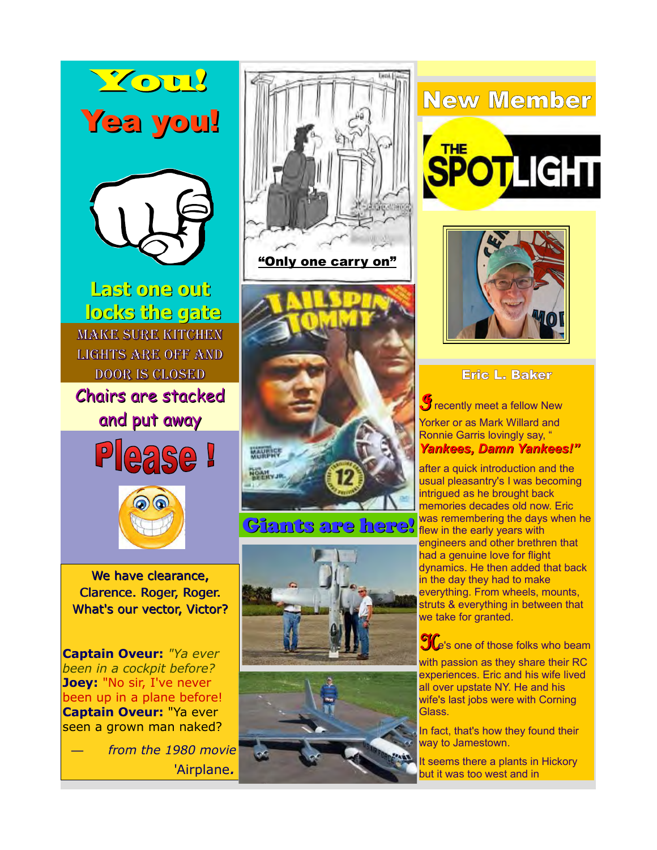



**Last one out locks the gate** Make sure kitchen lights are off and door is closed

Chairs are stacked and put away





We have clearance, Clarence. Roger, Roger. What's our vector, Victor?

**Captain Oveur:** *"Ya ever been in a cockpit before?* **Joey:** "No sir, I've never been up in a plane before! **Captain Oveur:** "Ya ever seen a grown man naked?

— *from the 1980 movie* 'Airplane*.*



"Only one carry on"



### **Giants are here?** Was remembering the days





## New Member





Eric L. Baker

 **recently meet a fellow New** Yorker or as Mark Willard and Ronnie Garris lovingly say, " *Yankees, Damn Yankees!"* 

after a quick introduction and the usual pleasantry's I was becoming intrigued as he brought back memories decades old now. Eric was remembering the days when he engineers and other brethren that had a genuine love for flight dynamics. He then added that back in the day they had to make everything. From wheels, mounts, struts & everything in between that we take for granted.

 $\mathbf{C}$  is one of those folks who beam

with passion as they share their RC experiences. Eric and his wife lived all over upstate NY. He and his wife's last jobs were with Corning Glass.

In fact, that's how they found their way to Jamestown.

It seems there a plants in Hickory but it was too west and in